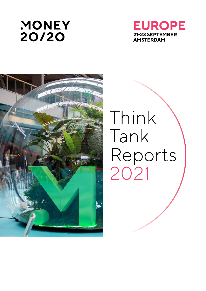





# Think Tank Reports 2021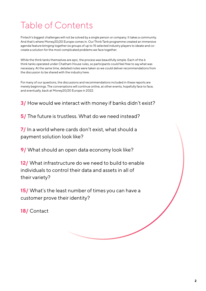## Table of Contents

Fintech's biggest challenges will not be solved by a single person or company. It takes a community. And that's where Money20/20 Europe comes in. Our Think Tank programme created an immersive agenda feature bringing together six groups of up to 15 selected industry players to ideate and cocreate a solution for the most complicated problems we face together.

While the think tanks themselves are epic, the process was beautifully simple. Each of the 6 think tanks operated under Chatham House rules, so participants could feel free to say what was necessary. At the same time, detailed notes were taken so we could deliver recommendations from the discussion to be shared with the industry here.

For many of our questions, the discussions and recommendations included in these reports are merely beginnings. The conversations will continue online, at other events, hopefully face to face, and eventually, back at Money20/20 Europe in 2022.

**3/** How would we interact with money if banks didn't exist?

**5/** The future is trustless. What do we need instead?

**7/** In a world where cards don't exist, what should a payment solution look like?

**9/** What should an open data economy look like?

**12/** What infrastructure do we need to build to enable individuals to control their data and assets in all of their variety?

**15/** What's the least number of times you can have a customer prove their identity?

**18/** Contact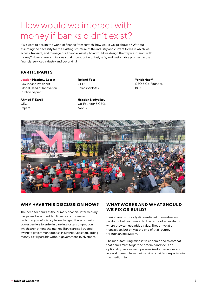### How would we interact with money if banks didn't exist?

If we were to design the world of finance from scratch, how would we go about it? Without assuming the necessity for the existing structure of the industry and current forms in which we access, transact, and manage our financial assets, how would we design the way we interact with money? How do we do it in a way that is conducive to fast, safe, and sustainable progress in the financial services industry and beyond it?

#### **PARTICIPANTS:**

**Leader: Matthew Locsin** Group Vice President, Global Head of Innovation, Publicis Sapient

**Ahmed F. Karsli** CEO, Papara

**Roland Folz** CEO, Solarisbank AG

Novus

**Hristian Nedyalkov** Co-Founder & CEO, **Yorick Naeff** CEO & Co-Founder, BUX



#### **WHY HAVE THIS DISCUSSION NOW?**

The need for banks as the primary financial intermediary has passed as embedded finance and increased technological efficiency have changed the economics. Lower barriers to entry in banking foster competition, which strengthens the market. Banks are still trusted, owing to government deposit insurance, yet safeguarding money is still possible without government involvement.

#### **WHAT WORKS AND WHAT SHOULD WE FIX OR BUILD?**

Banks have historically differentiated themselves on products, but customers think in terms of ecosystems, where they can get added value. They arrive at a transaction, but only at the end of that journey through an ecosystem.

The manufacturing mindset is endemic and to combat that banks must forget the product and focus on optionality. People want personalized experiences and value alignment from their service providers, especially in the medium term.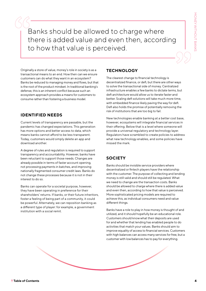Banks should be allowed to charge where there is added value and even then, according to how that value is perceived.

Originally a store of value, money's role in society is as a transactional means to an end. How then can we ensure customers can do what they want in an ecosystem? Banks be reduced to managing money and flows, but that is the root of the product mindset. In traditional banking's defense, this is an inherent conflict because such an ecosystem approach provides a means for customers to consume rather than fostering a business model.

#### **IDENTIFIED NEEDS**

Current levels of transparency are passable, but the pandemic has changed expectations. This generation has more options and better access to data, which means banks cannot afford to be less transparent. Today, customers would simply delete an app and download another.

A degree of rules and regulation is required to support transparency and accountability. However, banks have been reluctant to support those needs. Changes are already possible in terms of faster account opening, not processing payments in batches, and improving nationally fragmented consumer credit laws. Banks do not change these processes because it is not in their interest to do so.

Banks can operate for a societal purpose, however, they have been operating in preference for their shareholders' returns. If banks, or their future inheritors, foster a feeling of being part of a community, it could be powerful. Alternately, we can reposition banking as a different type of player: for example, a government institution with a social remit.

#### **TECHNOLOGY**

The clearest change to financial technology is decentralized finance, or defi, but there are other ways to solve the transactional side of money. Centralized infrastructure enables a few banks to dictate terms, but defi architecture would allow us to iterate faster and better. Scaling defi solutions will take much more time, with embedded finance likely paving the way for defi. Defi also holds the promise of potentially removing the risk of institutions that are too big to fail.

New technologies enable banking at a better cost base, however, ecosystems will integrate financial services in their offering. Below that is a level where someone will provide a universal regulatory and technology layer. Regulators have scrambled to create policies to address what new technology enables, and some policies have missed the mark.

### **SOCIETY**

Banks should be invisible service providers where decentralized or fintech players have the relationship with the customer. The purpose of collecting and lending money is still valid and should still be regulated. What we need to change are the transaction costs. Banks should be allowed to charge where there is added value and even then, according to how that value is perceived. More sophisticated pricing models are required to achieve this, as individual consumers need and value different things.

Banks have a role to play in how money is thought of and utilized, and it should hopefully be an educational role. Customers should know what their deposits are used for and whether that lending has enabled people to do activities that match your values. Banks should aim to improve equality of access to financial services. Customers with high balances can access many services for free, but a customer with low balances has to pay for everything.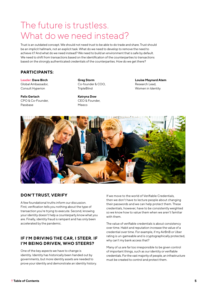### The future is trustless. What do we need instead?

Trust is an outdated concept. We should not need trust to be able to do trade and share. Trust should be an implicit hallmark, not an explicit task. What do we need to develop to remove the need to achieve it? And what do we need instead? We need to build an environment that is safe by default. We need to shift from transactions based on the identification of the counterparties to transactions based on the strongly authenticated credentials of the counterparties. How do we get there?

#### **PARTICIPANTS:**

**Leader: Dave Birch** Global Ambassador, Consult Hyperion

**Felix Gerlach** CPO & Co-Founder, Passbase

**Greg Storm** Co-founder & COO, **TripleBlind** 

**Katryna Dow** CEO & Founder,

Meeco

**Louise Maynard Atem** Research Lead, Women in Identity



#### **DON'T TRUST, VERIFY**

A few foundational truths inform our discussion. First, verification tells you nothing about the type of transaction you're trying to execute. Second, knowing your identity doesn't help a counterparty know what you are. Finally, identity fraud is rampant and has only been accelerated by the pandemic.

#### **IF I'M DRIVING THE CAR, I STEER. IF I'M BEING DRIVEN, WHO STEERS?**

One of the key aspects we have to change is identity. Identity has historically been handed out by governments, but more identity assets are needed to prove your identity and demonstrate an identity history. If we move to the world of Verifiable Credentials, then we don't have to lecture people about changing their passwords and we can help protect them. These credentials, however, have to be consistently weighted so we know how to value them when we aren't familiar with them.

The value of verifiable credentials is about consistency over time. Habit and reputation increase the value of a credential over time. For example, if my AirBnB or Uber rating is un-gameable and is cryptographically protected, why can't my bank access that?

Many of us are far too irresponsible to be given control of important things, such as our identity or verifiable credentials. For the vast majority of people, an infrastructure must be created to control and protect them.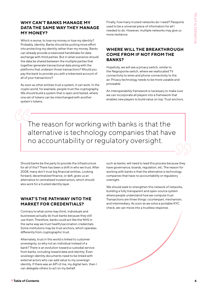#### **WHY CAN'T BANKS MANAGE MY DATA THE SAME WAY THEY MANAGE MY MONEY?**

Which is worse, to lose my money or lose my identity? Probably, identity. Banks should be putting more effort into protecting my identity rather than my money. Banks can already provide a tokenized handshake for data exchange with third parties. But in what scenarios should the data be shared between the multiple parties that together generate transactional data along with the platforms that underpin those transactions? Would you pay the bank to provide you with a tokenized account of all of your transactions?

As soon as other entities trust a system, it can work. In the crypto world, for example, people trust the cryptography. We should build a system that is open and tested, where one set of tokens can be interchanged with another system's tokens.

Finally, how many trusted networks do I need? Passports used to be a universal piece of information for all I needed to do. However, multiple networks may give us more resilience.

#### **WHERE WILL THE BREAKTHROUGH COME FROM IF NOT FROM THE BANKS?**

Hopefully, we will see a privacy switch, similar to the Negroponte switch, where we reallocated TV connectivity to wires and phone connectivity to the air. Privacy technology needs to be more useable and proveable.

An interoperability framework is necessary to make sure we can incorporate all players into a framework that enables new players to build value on top. Trust anchors,

The reason for working with banks is that the alternative is technology companies that have no accountability or regulatory oversight.

Should banks be the party to provide the infrastructure for all of this? There has been a shift in who we trust. After 2008, many don't trust big financial entities. Looking forward, decentralized finance, or defi, gives us an alternative to centralized trusted actors, which should also work for a trusted identity layer.

#### **WHAT'S THE PATHWAY INTO THE MARKET FOR CREDENTIALS?**

Contrary to what some may think, individuals and businesses actually do trust banks because they still use them. Therefore, banks could act like the NHS in the same way we trust health/vaccination credentials. Some institutions may be trust anchors, which operates differently from cryptographic trust.

Alternately, trust in this world is linked to customer sovereignty, so why not an individual instead of a bank? There is an evolution toward a custodial service from banks, including toward data and identity. Even sovereign identity documents need to be linked with external actors who can add value to my sovereign identity. If there was an API of me, my digital twin, then I can delegate others to act on my behalf.

such as banks, will need to lead this process because they have governance, boards, regulation, etc. The reason for working with banks is that the alternative is technology companies that have no accountability or regulatory oversight.

We should seek to strengthen this network of networks, building a fully transparent and open-source system where people understand how we compute trust. Transactions are three things: counterpart, mechanism, and intermediary. As soon as we solve a portable KYC check, we can move into a trustless response.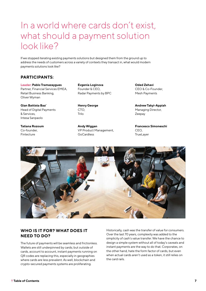### In a world where cards don't exist, what should a payment solution look like?

If we stopped iterating existing payments solutions but designed them from the ground up to address the needs of customers across a variety of contexts they transact in, what would modern payments solutions look like?

#### **PARTICIPANTS:**

**Leader: Pablo Tramazaygues** Partner, Financial Services EMEA, Retail Business Banking, Oliver Wyman

**Gian Battista Baa'** Head of Digital Payments & Services, Intesa Sanpaolo

**Tatiana Rozoum** Co-founder, Fintecture

**Evgenia Loginova** Founder & CEO, Radar Payments by BPC

**Henry George** CTO, Trilo

**Andy Wiggan** VP Product Management, GoCardless

**Oded Zehavi** CEO & Co-Founder, Mesh Payments

**Andrew Takyi-Appiah** Managing Director, Zeepay

**Francesco Simoneschi** CEO, **TrueLayer** 



#### **WHO IS IT FOR? WHAT DOES IT NEED TO DO?**

The future of payments will be seamless and frictionless. Wallets are still underpinned by cards; but outside of cards, account to account, instant payments running on QR codes are replacing this, especially in geographies where cards are less prevalent. As well, blockchain and crypto-secured payments systems are proliferating.

Historically, cash was the transfer of value for consumers. Over the last 70 years, complexity was added to the simplicity of cash's value transfer. We have the chance to design a simple system without all of today's caveats and instant payments are the way to do that. Corporates, on the other hand, hate the form factor of cards, but even when actual cards aren't used as a token, it still relies on the card rails.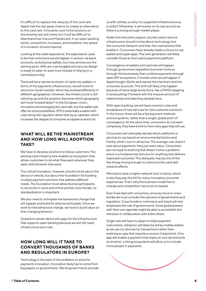It's difficult to replace the ubiquity of the card rails. Apple had the last great chance to create an alternative to the card rails. Innovation and niche solutions on the existing rails will come, but it will be difficult to disenfranchise Visa and Mastercard. In an open banking world, competition increases, and therefore, the speed of innovation should improve.

Looking at the retail experience, the expectation used to be that commerce would happen in person, via bank accounts, and physical wallets, but now, phones are the starting point. APIs are now fungible and security design is ready for peer-to-peer trust instead of relying on a centralized entity.

There will be a natural evolution of cards into wallets. in terms of the payments infrastructure, we will move to electronic funds transfer, which has evolved differently in different geographies. However, the infrastructure is still catching up and the question becomes which geography will move forward faster? In the European Union, innovators are leveraging the card rails, but the wallet rails offer far more possibilities. EMI is essentially a wallet with rules set by the regulator rather than by an operator, which increases the degree of consumer acceptance and trust.

#### **WHAT WILL BE THE MAINSTREAM AND HOW LONG WILL ADOPTION TAKE?**

We have to develop solutions to follow customers. The existing card infrastructure enables an ecosystem that allows customers to do what they want wherever they want, with whoever they want.

The critical innovation, however, should not be about the device or vehicle, but about the foundation for building multiple payment solutions that address different needs. The foundation must allow diverse participants to reconcile in-store and online and be cross-border, so standardization is important.

We also need to anticipate the behavioral change that will happen and build for what we anticipate. Once we work for the behavioral change, we have to build value on that changing behavior.

Questions remain about who pays for the infrastructure that supports open banking because we will still need infrastructure and rules.

#### **HOW LONG WILL IT TAKE TO CONVERT THOUSANDS OF BANKS AND REGULATORS IN EUROPE?**

Technology is the least of the problems to solve for payments innovation. Innovation likely has to come from big players or governments. We let governments provide us with utilities, so why not a payment infrastructure as a utility? Otherwise, it will evolve on its own as soon as there is a strong enough market player.

Aside from the policy aspect, any discussion around infrastructure should not be about technology, but the consumer behavior and then the mechanisms that enable it. Consumers have already made a choice to use wallets and super apps. The next generation will likely consider those as their native payments platform.

Convergence of wallets and card rails will happen through government legislation but even more so through the businesses that combine payments through open API ecosystems. Consider what would happen if Apple bought iZettle and owned the merchant and the consumer accounts. This shift will likely only happen because of some large brute force, like a FANG stepping in and pushing it forward with the massive amount of relationships and data they already have.

With open banking, we will have common rules and acceptance of new services for new customer solutions. In the future, there will be a few payment methods and ecosystems, rather than a single, global point of convergence. At the same time, consumers do not want complexity; they have a limit to how many apps they will use.

Consumers will ultimately decide which platforms or services to use based on environmental factors and frankly, what's cool or attractive. The average user doesn't care about payments: they just want value. Consumers are not loyal to anything that doesn't solve a problem, which is a fundamental stimulus for anything that delivers improved outcomes. This disloyalty may be one of the few things strong enough to overcome the card rails' network effects.

Merchants have a higher network lock-in factor, which is why they pay the bill for many innovative consumer experiences. That's why the business model has to change and competition has to be increased.

Even if we start with consumers, once we move to crossborder we must consider the opinions of governments and regulators. Cross-border e-commerce and travel will only emphasize the role of governments. Some global powers with their own agendas might be able to accomplish this transition in collaboration with a few others.

Single rails will have to adopt multiple payment instruments. Adoption will likely be led by mobile wallets as we use our phones for transactions rather than entering an app that requires a source of payments. One app will enable a payment that starts on one rail and ends on another. Linking ecosystems will allow us to include more people in payments.

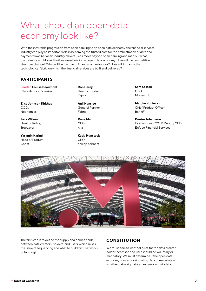### What should an open data economy look like?

With the inevitable progression from open banking to an open data economy, the financial services industry can play an important role in becoming the trusted core for the orchestration of data and payment flows between industry players. Let's move beyond open banking and map out what the industry would look like if we were building an open data economy. How will the competitive structure change? What will be the role of financial organizations? How will it change the technological fabric on which the financial services are built and delivered?

#### **PARTICIPANTS:**

**Leader: Louise Beaumont** Chair, Advisor, Speaker

**Elise Johnsen Kirkhus** COO, Neonomics

**Jack Wilson** Head of Policy, **TrueLayer** 

**Yasamin Karimi** Head of Product, Codat

**Ron Carey** Head of Product, Yapily

**Anil Hansjee** General Partner, Fabric

**Rune Mai** CEO, Aiia

**Katja Hunstock** CPO, finleap connect

**Sam Seaton** CEO, Moneyhub

**Marijke Koninckx** Chief Product Officer, BankiFi

**Denise Johansson** Co-Founder, CCO & Deputy CEO, Enfuce Financial Services



The first step is to define the supply and demand side between data creators, holders, and users, which raises the issue of sequencing and what to build first: networks or funding?

#### **CONSTITUTION**

We must decide whether rules for the data creator, holder, accessor, and user should be voluntary or mandatory. We must determine if the open data economy concerns originating data or metadata and whether data originators can remove metadata.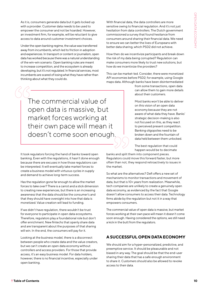As it is, consumers generate data but it gets locked up with a provider. Customer data needs to be used to empower the consumer and not be hoarded. However, an investment firm, for example, will be reluctant to give access to data around customer investment choices.

Under the open banking regime, the value was transferred away from incumbents, which led to friction in adoption and experiences. In transport or content or journalism, open data has worked because there was a natural understanding of the win-win scenario. Open banking rules are meant to increase competition, and the ecosystem is already developing, but it's not regulated. In financial services, most incumbents are scared of losing what they have rather than thinking about what they could do.

With financial data, the data controllers are more sensitive owing to financial regulation. And it's not just hesitation from data controllers. The Dutch government commissioned a survey that found hesitance from consumers around sharing their financial data. We need to ensure we can better the lives of Europeans with better data sharing, which PSD2 did not achieve.

How then do we incentivize participants and break down the risk of my data being corrupted? Regulation can make consumers more likely to trust new solutions, but how do we incentivize the providers?

This can be market-led. Consider, there were monetized API economies before PSD2; for example, using Google maps data. Although banks have been disintermediated

> from some transactions, open data can allow them to gain more details about their customers.

Most banks won't be able to deliver on this vision of an open data economy because they are not aware of what data they have. Banks' strategic decision-making is also not focused on this, as they react to perceived present competition. Banking oligopolies need to be broken down and the fountain of data held between them unlocked.

The best regulation that could happen would be to decimate

banks and split them into component pieces. Regulators could move this forward faster, but more often than not, they respond retroactively to issues in the market.

So what are the alternatives? Defi offers a new set of mechanisms to monitor transactions and movement of data, but that is 10+ years from realization. Meanwhile, tech companies are unlikely to create a genuinely open data economy, as evidenced by the fact that Google doesn't allow consumers to access their data. Technology firms abide by the regulation but not it in a way that empowers consumers.

The commercial value of open data is massive, but market forces working at their own pace will mean it doesn't come soon enough. Having considered the options, we still need a kick in the butt from the regulators.

#### **A SUCCESSFUL OPEN DATA ECONOMY**

We should aim for a hyper-personalized, predictive, and preemptive service. It should be pleasurable and not biased in any way. The goal should be that the end-user sharing their data that has a safe enough environment to share it. Customers should also be allowed to revoke access to their data.

The commercial value of open data is massive, but market forces working at their own pace will mean it doesn't come soon enough.

It took regulators forcing the hand of banks toward open banking. Even with the regulations, it hasn't done enough because there are excuses in how those regulations can be interpreted. It will eventually take market forces to create a business model with virtuous cycles in supply and demand to achieve long-term success.

Has the regulation gone far enough to allow the market forces to take over? There is a carrot and a stick dimension to creating new experiences, but there is an increasing awareness that the data should be the consumer's and that they should have oversight into how that data is monetized. Value creation will lead to funding.

If we didn't have regulation, there wouldn't be trust for everyone to participate in open data ecosystems. Therefore, regulators play a foundational role but don't offer enrichment. New fintechs that openly share data and are transparent about the purposes of that sharing will win. In the end, the consumers will pay for it.

Looking at the business model, there is a disconnect between people who create data and the value creators, but we can't create an open data economy without controllers and access providers. For those that provide access, it's an easy business model. For data holders, however, there is no financial incentive, especially under open banking.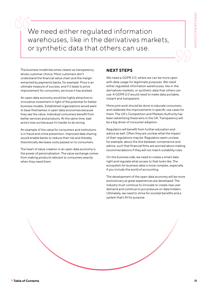We need either regulated information warehouses, like in the derivatives markets, or synthetic data that others can use.

The business model becomes clearer as transparency drives customer choice. Most customers don't understand the financial value chain and the margin extracted by payments banks, for example. Price is an ultimate measure of success, and if it leads to price improvement for consumers, we know it has worked.

An open data economy would be highly attractive to innovative investment in light of the potential for better business models. Established organizations would want to base themselves in open data economies because they see the value. Individual consumers benefit from better services and products. At the same time, bad actors lose out because it's harder to do wrong.

An example of the value for consumers and institutions is in fraud and crime prevention. Improved data sharing would enable banks to reduce their risk and thereby theoretically decrease costs passed on to consumers.

The heart of value creation in an open data economy is the power of personalization. The value exchange comes from making products relevant to consumers exactly when they need them.

#### **NEXT STEPS**

We need a GDPR 2.0, where we can be more open with data usage for legitimate purposes. We need either regulated information warehouses, like in the derivatives markets, or synthetic data that others can use. A GDPR 2.0 would need to make data portable, instant and transparent.

More joint work should be done to educate consumers and celebrate the improvements in specific use cases for them. The UK's Competition and Markets Authority has been advertising these wins in the UK. Transparency will be a big driver of consumer adoption.

Regulators will benefit from further education and advice as well. Often they are unclear what the impact of their regulations may be. Regulators seem unclear, for example, about the line between convenience and advice, such that financial firms are worried about making recommendations if they will not match suitability rules.

On the business side, we need to create a smart data right and regulate what access to that looks like. The ecosystem for business data is more complex, especially if you include the world of accounting.

The development of the open data economy will be more evolutionary as great experiences are developed. The industry must continue to innovate to create new user demand and continue to put pressure on data holders. Ultimately, we need to strive for societal benefits and a system that's fit for purpose.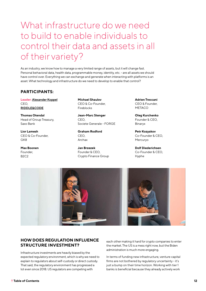### What infrastructure do we need to build to enable individuals to control their data and assets in all of their variety?

As an industry, we know how to manage a very limited range of assets, but it will change fast. Personal behavioral data, health data, programmable money, identity, etc. - are all assets we should have control over. Everything we can exchange and generate when interacting with platforms is an asset. What technology and infrastructure do we need to develop to enable that control?

#### **PARTICIPANTS:**

**Leader: [Alexander Koppel](mailto:alexander@riddleandcode.com)** CEO, **[RIDDLE&CODE](http://www.riddleandcode.com/)**

**Thomas Otendal** Head of Group Treasury, Saxo Bank

**Lior Lamesh** CEO & Co-Founder, GK8

**Max Boonen** Founder, B2C2

**Michael Shaulov** CEO & Co-Founder, Fireblocks

**Jean-Marc Stenger** CEO, Societe Generale - FORGE

**Graham Rodford** CEO, Archax

**Jan Brzezek** Founder & CEO, Crypto Finance Group **Adrien Treccani** CEO & Founder, **METACO** 

**Oleg Kurchenko** Founder & CEO, Binaryx

**Petr Kozyakov** Co-Founder & CEO, Mercuryo

**Dolf Diederichsen** Co-Founder & CEO, Hyphe



#### **HOW DOES REGULATION INFLUENCE STRUCTURE INVESTMENT?**

Infrastructure investments are heavily biased by the expected regulatory environment, which is why we need to explain to regulators about self-custody or direct custody. That said, the regulatory environment has progressed a lot even since 2018. US regulators are competing with

each other making it hard for crypto companies to enter the market. The US is a mess right now, but the Biden administration is much more engaging.

In terms of funding new infrastructure, venture capital firms are not bothered by regulatory uncertainty - it's just a bump on their time horizon. Working with tier 1 banks is beneficial because they already actively work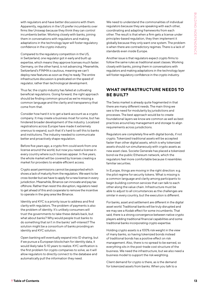with regulators and have better discussions with them. Apparently, regulators in the US prefer incumbents over firms like Uniswap because they think they can control incumbents better. Working closely with banks, joining them in conversations with regulators and making adaptations in the technology layer will foster regulatory confidence in the crypto industry.

Compared to the regulatory competition in the US, in Switzerland, one regulator got in early and built up expertise, which means they approve licenses much faster. Germany, on the other hand, is not advancing. Meanwhile, Switzerland's FINMA is cautious, meaning we can't deploy new features as soon as they're ready. The entire infrastructure discussion is predicated on the speed of regulator, rather than technological development.

Thus far, the crypto industry has failed at cultivating beneficial regulations. Going forward, the right approach should be finding common ground as we're missing a common language and the clarity and transparency that come from that.

Consider how hard it is to get a bank account as a crypto company. It may create a business moat for some, but has hindered broader development of the industry. Localized registrations across Europe have made it extremely onerous to expand, such that it's hard to sell this to banks and institutions. The industry needed to communicate better and proactively shape regulation.

Before five years ago, a crypto firm could work from one license around the world, but now you need a license in every country where such licenses appear. In five years, the whole market will be covered by licenses creating a market for providers to enable efficient access.

Crypto asset permissions cannot be passported which shows a lack of maturity from the regulators. We want to be cross-border but we have to apply for a new license in every jurisdiction. Meanwhile, Binance can innovate and pay tax offshore. Rather than resist this disruption, regulators need to get ahead of this and cooperate to remove the incentive to operate in the grey area like Binance.

Identity and KYC is a priority issue to address and find clarity with regulators. The problem of payments is also the problem of identity. It's unlikely consumers will trust the governments to take these details back, but what about banks? Why would people trust banks to do something that isn't in the banks' self-interest? The solution might be a consortium of banks providing an identity and KYC solution.

Open banking will eventually expand into ID sharing, but if we pursue a European blockchain for identity data, it would likely take 5-10 years to realize. KYC verification is the first problem for crypto companies to solve, as it will allow regulators to directly connect to the database and automatically pull the information they need.

We need to understand the commonalities of individual regulators because they are speaking with each other, coordinating and adapting frameworks from each other. The result is that when a firm gets a license under principles-based regulation, they then implement it globally because they only want one system. The problem is when there are contradictory regimes. There is a lack of standards even inside Europe.

Another issue is that regulators expect crypto firms to follow the same rules as traditional asset classes. Working closely with banks, joining them in conversations with regulators and making adaptations in the technology layer will foster regulatory confidence in the crypto industry.

#### **WHAT INFRASTRUCTURE NEEDS TO BE BUILT?**

The Swiss market is already quite fragmented in that there are many different needs. The main thing we see is the need for modularity by jurisdictions and processes. The best approach would be to create foundational layers we know are common as well as best practices around key management and storage to align requirements across jurisdictions.

Regulators are completely fine with digital bonds, if not crypto. Tokenized traditional assets will be accepted faster than other digital assets, which is why tokenized assets should run simultaneously with crypto assets as new asset class. Societe Generale has placed a tokenized bond via the public Ethereum network, which the regulators feel more comfortable because it resembles familiar securities.

In Europe, things are moving in the right direction: e.g. the pilot regime for security tokens. What is missing is a common language and clarity among participants to begin building common services that can talk to each other along the value chain. Infrastructure must be able to adjust to all circumstances as the challenges are similar in every country, but the execution is different.

For banks, asset and settlement are different in the digital asset world. Traditional banks will be truly disrupted and we may see a Kodak effect for some incumbents. That said, there is a strong convergence between native crypto players adding traditional financial capabilities and some traditional banks incorporating crypto expertise.

Holding crypto assets is a 100% risk weight in the view of many banks, so having tokenized bonds instead of traditional bonds has a positive effect on risk management. Also, there is no spread to be earned, so everything sits in the post-trade cost structure of the business. We need the infrastructure, but we also need a business model to support the risk weighting.

Client demand for crypto is there, as is the demand for tokenized assets from banks. When you talk to a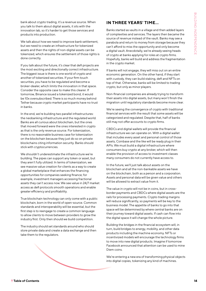bank about crypto trading, it's a revenue source. When you talk to them about digital assets, it sits with the innovation lab, so it's harder to get those services and products into production.

We talk about how we need to improve bank settlement, but we need to create an infrastructure for tokenized assets and then the rights of non-digital assets can be tokenized, which ensures the settlement of those rights is done correctly.

If you talk about the future, it's clear that defi projects are the most exciting and directionally correct infrastructure. The biggest issue is there is one world of crypto and another of tokenized securities. If your firm touch securities, you have to be regulated and become a broker-dealer, which limits the innovation in that space. Consider the opposite case to make this clearer. If tomorrow, Binance issued a tokenized bond, it would be 10x oversubscribed. There is so much money behind Tether because crypto market participants have no trust in banks.

In the end, we're building two parallel infrastructures: the neobanking infrastructure and the regulated world. Banks are all curious about blockchain, but the ones that moved forward were the ones interested in crypto as that is the only revenue source. For tokenization, there is no reasonable business case for tokenization on the blockchain because they just do so on private blockchains citing information security. Banks should stick with cryptocurrencies.

We shouldn't underestimate the infrastructure we're building. The pipes can support any token or asset, but they aren't fully utilized. In terms of tokenization, we see massive value creation for clients as a way to create a global marketplace that enhances the financing opportunities for companies seeking finance; for example, investment managers accessing fractional assets they can't access now. We see value in 24/7 market access as defi protocols smooth operations and enable greater efficiency and profitability.

True blockchain technology can only come with a public blockchain, born in the world of open-source. Common standards and interoperability will be essential, but the first step is to reengage to create a common language to allow clients to move between providers to grow the industry first. Only then should we build competition.

The industry should set standards around who should store private data and create a data exchange and then take them to the regulators.

#### **IN THREE YEARS' TIME...**

Banks started as vaults in a village and then added layers of complexities and services. The layers then became the source of revenue instead of the vault. Banks may see a parabola and return to money from storage because they can't afford to miss the opportunity and only become a digital vault. Anecdotally, we're already seeing heads of crypto at banks applying for roles at crypto firms. Hopefully, banks will build and address the fragmentation in the crypto market.

If banks will not engage, they will miss out on an entire economic generation. On the other hand, if they start with custody, they can build staking, defi and NFTs on top of that. Otherwise, banks will be limited to trading crypto, but only as minor players.

Non-financial companies are already trying to transform their assets into digital assets, but many won't finish the migration until regulatory standards become more clear.

We're seeing the convergence of crypto with traditional financial services with the result that some assets will be categorized and regulated. Despite that, half of banks still may not offer accounts to crypto firms.

CBDCs and digital wallets will provide the financial infrastructure we can operate on. With a digital wallet that includes every asset and personal control of those assets, Coinbase and the like will be ready plug in their APIs. We must build a digital infrastructure where consumers buy crypto at any broker, which will then enable the provision of access to investment classes many consumers do not currently have access to.

In the future, we'll just talk about assets on the blockchain and all the non-bankable assets we have on the blockchain, both as a person and a corporation. Assets and personal data will be given value and others will be allowed to extract value from it.

The value in crypto will not be in coins, but in crossborder payments and CBDCs where digital assets are the rails for processing payments. Crypto trading margins will reduce significantly, so payments will be key to the business model. The appetite of banks to go into that space will be determined by where central banks are on their journey toward digital assets. If cash can flow into the digital space it will change the whole picture.

Building the bridges in the financial ecosystem will, in turn, build bridges to energy, mobility, and other data products including the machine economy. NFTs or incentivized models will encourage the technology firms to move into new digital products. Imagine if tomorrow Facebook announced that attention can be used to mine Diem coins.

We're entering a new era of transforming physical objects into digital copies, tokenizing any kind of machines.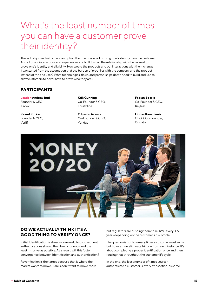### What's the least number of times you can have a customer prove their identity?

The industry standard is the assumption that the burden of proving one's identity is on the customer. And all of our interactions and experiences are built to start the relationship with the request to prove one's identity and eligibility. How would the products and our interactions with them change if we started from the assumption that the burden of proof lies with the company and the product instead of the end user? What technologies, flows, and partnerships do we need to build and use to allow customers to never have to prove who they are?

#### **PARTICIPANTS:**

**Leader: Andrew Bud** Founder & CEO, iProov

**Kaarel Kotkas** Founder & CEO, Veriff

**Krik Gunning** Co-Founder & CEO, Fourthline

**Eduardo Azanza** Co-Founder & CEO, Veridas

**Fabian Eberle** Co-Founder & CEO, Keyless

**Liudas Kanapienis** CEO & Co-Founder, Ondato



#### **DO WE ACTUALLY THINK IT'S A GOOD THING TO VERIFY ONCE?**

Initial Identification is already done well, but subsequent authentications should then be continuous and the least intrusive as possible. As a result, will this foster convergence between Identification and authentication?

Reverification is the target because that is where the market wants to move. Banks don't want to move there but regulators are pushing them to re-KYC every 3-5 years depending on the customer's risk profile.

The question is not how many times a customer must verify, but how can we eliminate friction from each instance. It's about completing a proper identification once and then reusing that throughout the customer lifecycle.

In the end, the least number of times you can authenticate a customer is every transaction, as some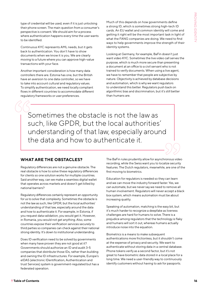type of credential will be used, even if it is just unlocking their phone screen. The main question from a consumer's perspective is consent. We should aim for a process where authentication happens every time the user wants to be identified.

Continuous KYC represents AML needs, but it gets back to authentication. You don't have to show documents when we know it is you. We are clearly moving to a future where you can approve high-value transactions with your face.

Another important consideration is how many data controllers there are. Estonia has one, but the British have an aversion to one data controller, so we have to take into account cultural and regulatory values. To simplify authentication, we need locally compliant flows in different countries to accommodate different regulatory frameworks or user preferences.

Much of this depends on how governments define a strong ID, which is sometimes strong high-tech ID cards. An EU wallet and common identity will come and getting it right will be the most important task in light of what the FANG companies are doing. We need to find ways to help governments improve the strength of their identity systems.

Looking at Germany, for example, BaFin doesn't just want video KYC. Sometimes the live video call serves the purpose, which is much more secure than presenting a document at an office to a civil servant who is not trained to verify documents. When using a live agent, we have to remember that people are subjective by nature. Objectivity is achieved by database decisions and automation, which is why we want regulators to understand this better. Regulators push back on algorithmic bias and discrimination, but it's still better than humans are.

Sometimes the obstacle is not the law as such, like GPDR, but the local authorities' understanding of that law, especially around the data and how to authenticate it.

#### **WHAT ARE THE OBSTACLES?**

Regulatory differences are not a genuine obstacle. The real obstacle is how to solve these regulatory differences for clients so one solution works for multiple countries. Said another way, can we make a seamless digital wallet that operates across markets and doesn't get killed by national barriers?

Regulatory differences certainly represent an opportunity for us to solve that complexity. Sometimes the obstacle is not the law as such, like GPDR, but the local authorities' understanding of that law, especially around the data and how to authenticate it. For example, in Estonia, if you request data validation, you would get it. However, in Romania, you would not get anything. Also, some countries expose their verification services securely to third parties so companies can check against their national strong identity. It's down to institutional understanding.

Does ID verification need to be solved by governments when many have proven they are not good at it? Governments should authorize an ID and audit 3-5 companies that distribute those IDs, rather than building and owning the ID infrastructures. For example, Europe's eIDAS (electronic IDentification, Authentication and trust Services) system is government-regulated but has a federated operation.

The BaFin rules prudently allow for asynchronous video recording, while the Swiss want you to localize security features. The Dutch regulators, meanwhile, are one of the first moving to biometrics.

Education for regulators is needed so they can learn and we can move the industry forward faster. Yes, we can automate, but we never say we need to remove all human involvement. Regulators will never accept a black box system, which means automation must be about increasing quality.

Speaking of automation, matching is the easy bit, but it's much harder to recognize a deepfake as liveness challenges are hard for humans to solve. There is a prejudice among regulators that the technology is flaky and humans will sort it out, whereas humans actually introduce noise into the equation.

Biometrics is a means to make subsequent authentications more frictionless, but it shouldn't come at the expense of privacy and security. We want to authenticate without storing data in a central database. Phone tokens verify as a second factor, but it's not great to have biometric data stored in a local place for a long time. We need a user-friendly way to continuously identify customers without having to ask for passports.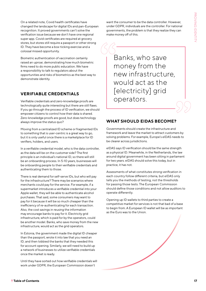On a related note, Covid health certificates have changed the landscape for digital IDs and pan-European recognition. It proved governments can't solve the verification issue because we don't have one regional super app. Covid certificates are required at grocery stores, but stores still require a passport or other strong ID. They have become a box-ticking exercise and a colossal missed opportunity.

Biometric authentication of vaccination certainly raised an uproar, demonstrating how much biometric firms need to do more public education. We have a responsibility to talk to regulators about the opportunities and risks of biometrics as the best way to demonstrate identity.

#### **VERIFIABLE CREDENTIALS**

Verifiable credentials and zero-knowledge proofs are technologically quite interesting but there are still flaws. If you go through the process of ID verification, we should empower citizens to control how their data is shared. Zero-knowledge proofs are good, but does technology always improve the status quo?

Moving from a centralized ID scheme or fragmented IDs to something that is user-centric is a great way to go, but it is only useful once there is a marketplace for ID verifiers, holders, and users.

In a verifiable credential model, who is the data controller, as the data will be on the customer side? The first principle is an individual's national ID, so there will still be an onboarding process. In 5-10 years, businesses will be onboarding people to their verifiable credentials and authenticating them to those.

There is real demand for self-serve IDs, but who will pay for the infrastructure? There may be scenarios where merchants could pay for the service. For example, if a supermarket introduces a verifiable credential into your Apple wallet, they will be able to authenticate alcohol purchases. That said, some consumers may want to pay for it because it will be so much cheaper than the inefficiency of re-authenticating for each transaction. Also, the cost savings in reusing the information may encourage banks to pay for it. Electricity grid infrastructure, which is paid for by the operators, could be another model. Banks, who save money from the new infrastructure, would act as the grid operators.

In Estonia, the government made the digital ID cheaper than the passport, wrote it into law that you need an ID, and then lobbied the banks that they needed this for account opening. Similarly, we will need to build up a network of businesses to utilize verifiable credentials once the market is ready.

Until they have sorted out how verifiable credentials will work under GDPR, the European Commission doesn't

want the consumer to be the data controller. However, under GDPR, individuals are the controller. For national governments, the problem is that they realize they can make money off of this.

Banks, who save money from the new infrastructure, would act as the [electricity] grid operators.

#### **WHAT SHOULD EIDAS BECOME?**

Governments should create the infrastructure and framework and leave the market to attract customers by solving problems. For example, Europe's eIDAS needs to be clearer across jurisdictions.

eIDAS says ID verification should be the same strength as a physical ID. Meanwhile, in the Netherlands, the law around digital government has been sitting in parliament for two years. eIDAS should solve this today, but in practice, it has not.

Assessments of what constitutes strong verification in each country follow different criteria, but eIDAS only tells you the methods of testing, not the thresholds for passing those tests. The European Commission should define those conditions and not allow auditors to operate differently.

Opening up ID wallets to third parties to create a competitive market for services is not that bad of a base to begin from. A European ID wallet will be as important as the Euro was to the Union.